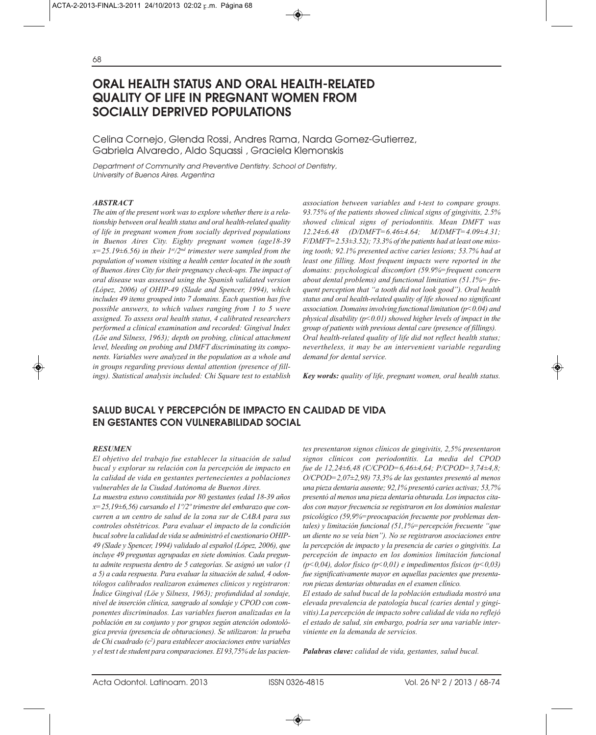# **ORAL HEALTH STATUS AND ORAL HEALTH-RELATED QUALITY OF LIFE IN PREGNANT WOMEN FROM SOCIALLY DEPRIVED POPULATIONS**

Celina Cornejo, Glenda Rossi, Andres Rama, Narda Gomez-Gutierrez, Gabriela Alvaredo, Aldo Squassi , Graciela Klemonskis

Department of Community and Preventive Dentistry. School of Dentistry, University of Buenos Aires. Argentina

#### *ABSTRACT*

*The aim of the present work was to explore whether there is a relationship between oral health status and oral health-related quality of life in pregnant women from socially deprived populations in Buenos Aires City. Eighty pregnant women (age18-39 x=25.19±6.56) in their 1st/2nd trimester were sampled from the population of women visiting a health center located in the south of Buenos Aires City for their pregnancy check-ups. The impact of oral disease was assessed using the Spanish validated version (López, 2006) of OHIP-49 (Slade and Spencer, 1994), which includes 49 items grouped into 7 domains. Each question has five possible answers, to which values ranging from 1 to 5 were assigned. To assess oral health status, 4 calibrated researchers performed a clinical examination and recorded: Gingival Index (Löe and Silness, 1963); depth on probing, clinical attachment level, bleeding on probing and DMFT discriminating its components. Variables were analyzed in the population as a whole and in groups regarding previous dental attention (presence of fillings). Statistical analysis included: Chi Square test to establish* *association between variables and t-test to compare groups. 93.75% of the patients showed clinical signs of gingivitis, 2.5% showed clinical signs of periodontitis. Mean DMFT was 12.24±6.48 (D/DMFT=6.46±4.64; M/DMFT=4.09±4.31; F/DMFT=2.53±3.52); 73.3% of the patients had at least one missing tooth; 92.1% presented active caries lesions; 53.7% had at least one filling. Most frequent impacts were reported in the domains: psychological discomfort (59.9%=frequent concern about dental problems) and functional limitation (51.1%= frequent perception that "a tooth did not look good"). Oral health status and oral health-related quality of life showed no significant association. Domains involving functional limitation (p<0.04) and physical disability (p<0.01) showed higher levels of impact in the group of patients with previous dental care (presence of fillings). Oral health-related quality of life did not reflect health status; nevertheless, it may be an intervenient variable regarding demand for dental service.*

*Key words: quality of life, pregnant women, oral health status.*

# **SALUD BUCAL Y PERCEPCIÓN DE IMPACTO EN CALIDAD DE VIDA EN GESTANTES CON VULNERABILIDAD SOCIAL**

#### *RESUMEN*

*El objetivo del trabajo fue establecer la situación de salud bucal y explorar su relación con la percepción de impacto en la calidad de vida en gestantes pertenecientes a poblaciones vulnerables de la Ciudad Autónoma de Buenos Aires.*

*La muestra estuvo constituida por 80 gestantes (edad 18-39 años x=25,19±6,56) cursando el 1º/2º trimestre del embarazo que concurren a un centro de salud de la zona sur de CABA para sus controles obstétricos. Para evaluar el impacto de la condición bucal sobre la calidad de vida se administró el cuestionario OHIP-49 (Slade y Spencer, 1994) validado al español (López, 2006), que incluye 49 preguntas agrupadas en siete dominios. Cada pregunta admite respuesta dentro de 5 categorías. Se asignó un valor (1 a 5) a cada respuesta. Para evaluar la situación de salud, 4 odontólogos calibrados realizaron exámenes clínicos y registraron: Índice Gingival (Löe y Silness, 1963); profundidad al sondaje, nivel de inserción clínica, sangrado al sondaje y CPOD con componentes discriminados. Las variables fueron analizadas en la población en su conjunto y por grupos según atención odontológica previa (presencia de obturaciones). Se utilizaron: la prueba de Chi cuadrado (c2 ) para establecer asociaciones entre variables y el test t de student para comparaciones. El 93,75% de las pacien-* *tes presentaron signos clínicos de gingivitis, 2,5% presentaron signos clínicos con periodontitis. La media del CPOD fue de 12,24±6,48 (C/CPOD=6,46±4,64; P/CPOD=3,74±4,8; O/CPOD=2,07±2,98) 73,3% de las gestantes presentó al menos una pieza dentaria ausente; 92,1% presentó caries activas; 53,7% presentó al menos una pieza dentaria obturada. Los impactos citados con mayor frecuencia se registraron en los dominios malestar psicológico (59,9%=preocupación frecuente por problemas dentales) y limitación funcional (51,1%=percepción frecuente "que un diente no se veía bien"). No se registraron asociaciones entre la percepción de impacto y la presencia de caries o gingivitis. La percepción de impacto en los dominios limitación funcional (p<0,04), dolor físico (p<0,01) e impedimentos físicos (p<0,03) fue significativamente mayor en aquellas pacientes que presentaron piezas dentarias obturadas en el examen clínico.* 

*El estado de salud bucal de la población estudiada mostró una elevada prevalencia de patología bucal (caries dental y gingivitis).La percepción de impacto sobre calidad de vida no reflejó el estado de salud, sin embargo, podría ser una variable interviniente en la demanda de servicios.*

*Palabras clave: calidad de vida, gestantes, salud bucal.*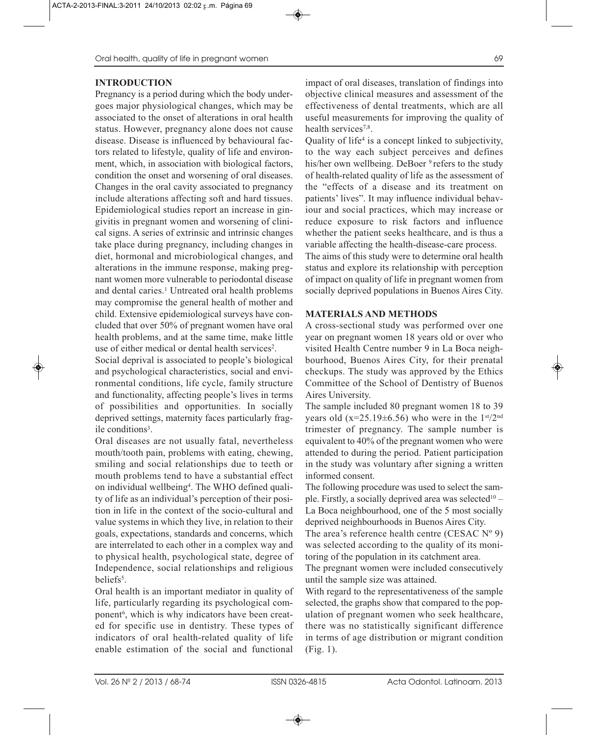# **INTRODUCTION**

Pregnancy is a period during which the body undergoes major physiological changes, which may be associated to the onset of alterations in oral health status. However, pregnancy alone does not cause disease. Disease is influenced by behavioural factors related to lifestyle, quality of life and environment, which, in association with biological factors, condition the onset and worsening of oral diseases. Changes in the oral cavity associated to pregnancy include alterations affecting soft and hard tissues. Epidemiological studies report an increase in gingivitis in pregnant women and worsening of clinical signs. A series of extrinsic and intrinsic changes take place during pregnancy, including changes in diet, hormonal and microbiological changes, and alterations in the immune response, making pregnant women more vulnerable to periodontal disease and dental caries.<sup>1</sup> Untreated oral health problems may compromise the general health of mother and child. Extensive epidemiological surveys have concluded that over 50% of pregnant women have oral health problems, and at the same time, make little use of either medical or dental health services<sup>2</sup>.

Social deprival is associated to people's biological and psychological characteristics, social and environmental conditions, life cycle, family structure and functionality, affecting people's lives in terms of possibilities and opportunities. In socially deprived settings, maternity faces particularly fragile conditions<sup>3</sup>.

Oral diseases are not usually fatal, nevertheless mouth/tooth pain, problems with eating, chewing, smiling and social relationships due to teeth or mouth problems tend to have a substantial effect on individual wellbeing<sup>4</sup>. The WHO defined quality of life as an individual's perception of their position in life in the context of the socio-cultural and value systems in which they live, in relation to their goals, expectations, standards and concerns, which are interrelated to each other in a complex way and to physical health, psychological state, degree of Independence, social relationships and religious beliefs<sup>5</sup>.

Oral health is an important mediator in quality of life, particularly regarding its psychological component<sup>6</sup>, which is why indicators have been created for specific use in dentistry. These types of indicators of oral health-related quality of life enable estimation of the social and functional

impact of oral diseases, translation of findings into objective clinical measures and assessment of the effectiveness of dental treatments, which are all useful measurements for improving the quality of health services<sup>7,8</sup>.

Quality of life4 is a concept linked to subjectivity, to the way each subject perceives and defines his/her own wellbeing. DeBoer <sup>9</sup> refers to the study of health-related quality of life as the assessment of the "effects of a disease and its treatment on patients' lives". It may influence individual behaviour and social practices, which may increase or reduce exposure to risk factors and influence whether the patient seeks healthcare, and is thus a variable affecting the health-disease-care process.

The aims of this study were to determine oral health status and explore its relationship with perception of impact on quality of life in pregnant women from socially deprived populations in Buenos Aires City.

#### **MATERIALS AND METHODS**

A cross-sectional study was performed over one year on pregnant women 18 years old or over who visited Health Centre number 9 in La Boca neighbourhood, Buenos Aires City, for their prenatal checkups. The study was approved by the Ethics Committee of the School of Dentistry of Buenos Aires University.

The sample included 80 pregnant women 18 to 39 years old ( $x=25.19\pm6.56$ ) who were in the  $1<sup>st</sup>/2<sup>nd</sup>$ trimester of pregnancy. The sample number is equivalent to 40% of the pregnant women who were attended to during the period. Patient participation in the study was voluntary after signing a written informed consent.

The following procedure was used to select the sample. Firstly, a socially deprived area was selected<sup>10</sup> – La Boca neighbourhood, one of the 5 most socially deprived neighbourhoods in Buenos Aires City.

The area's reference health centre (CESAC  $N^{\circ}$  9) was selected according to the quality of its monitoring of the population in its catchment area.

The pregnant women were included consecutively until the sample size was attained.

With regard to the representativeness of the sample selected, the graphs show that compared to the population of pregnant women who seek healthcare, there was no statistically significant difference in terms of age distribution or migrant condition (Fig. 1).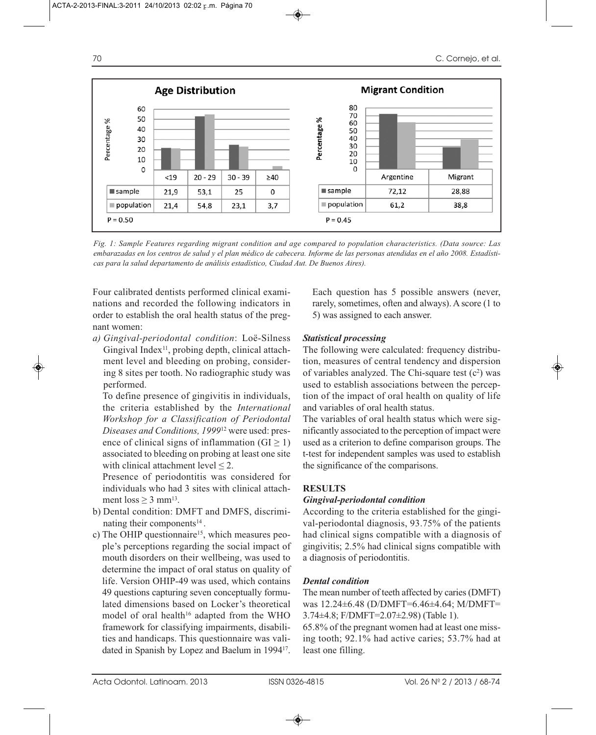

*Fig. 1: Sample Features regarding migrant condition and age compared to population characteristics. (Data source: Las embarazadas en los centros de salud y el plan médico de cabecera. Informe de las personas atendidas en el año 2008. Estadísticas para la salud departamento de análisis estadístico, Ciudad Aut. De Buenos Aires).*

Four calibrated dentists performed clinical examinations and recorded the following indicators in order to establish the oral health status of the pregnant women:

*a) Gingival-periodontal condition*: Loë-Silness Gingival Index<sup>11</sup>, probing depth, clinical attachment level and bleeding on probing, considering 8 sites per tooth. No radiographic study was performed.

To define presence of gingivitis in individuals, the criteria established by the *International Workshop for a Classification of Periodontal Diseases and Conditions, 1999*<sup>12</sup> were used: presence of clinical signs of inflammation ( $GI \ge 1$ ) associated to bleeding on probing at least one site with clinical attachment level  $\leq 2$ .

Presence of periodontitis was considered for individuals who had 3 sites with clinical attachment  $loss > 3$  mm<sup>13</sup>.

- b) Dental condition: DMFT and DMFS, discriminating their components<sup>14</sup>.
- c) The OHIP questionnaire<sup>15</sup>, which measures people's perceptions regarding the social impact of mouth disorders on their wellbeing, was used to determine the impact of oral status on quality of life. Version OHIP-49 was used, which contains 49 questions capturing seven conceptually formulated dimensions based on Locker's theoretical model of oral health<sup>16</sup> adapted from the WHO framework for classifying impairments, disabilities and handicaps. This questionnaire was validated in Spanish by Lopez and Baelum in 199417.

Each question has 5 possible answers (never, rarely, sometimes, often and always). A score (1 to 5) was assigned to each answer.

# *Statistical processing*

The following were calculated: frequency distribution, measures of central tendency and dispersion of variables analyzed. The Chi-square test  $(c^2)$  was used to establish associations between the perception of the impact of oral health on quality of life and variables of oral health status.

The variables of oral health status which were significantly associated to the perception of impact were used as a criterion to define comparison groups. The t-test for independent samples was used to establish the significance of the comparisons.

# **RESULTS**

# *Gingival-periodontal condition*

According to the criteria established for the gingival-periodontal diagnosis, 93.75% of the patients had clinical signs compatible with a diagnosis of gingivitis; 2.5% had clinical signs compatible with a diagnosis of periodontitis.

# *Dental condition*

The mean number of teeth affected by caries (DMFT) was 12.24±6.48 (D/DMFT=6.46±4.64; M/DMFT= 3.74±4.8; F/DMFT=2.07±2.98) (Table 1).

65.8% of the pregnant women had at least one missing tooth; 92.1% had active caries; 53.7% had at least one filling.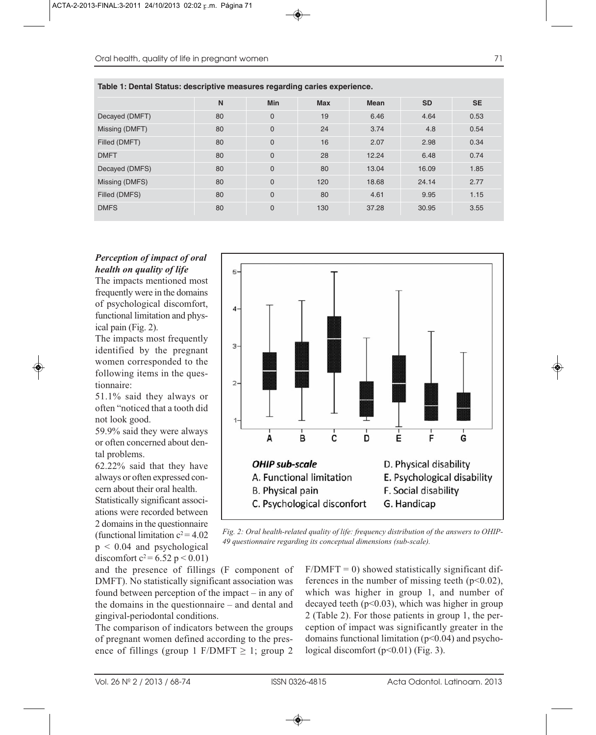|                | N  | <b>Min</b>  | <b>Max</b> | <b>Mean</b> | <b>SD</b> | <b>SE</b> |
|----------------|----|-------------|------------|-------------|-----------|-----------|
| Decayed (DMFT) | 80 | $\mathbf 0$ | 19         | 6.46        | 4.64      | 0.53      |
| Missing (DMFT) | 80 | $\mathbf 0$ | 24         | 3.74        | 4.8       | 0.54      |
| Filled (DMFT)  | 80 | $\mathbf 0$ | 16         | 2.07        | 2.98      | 0.34      |
| <b>DMFT</b>    | 80 | $\mathbf 0$ | 28         | 12.24       | 6.48      | 0.74      |
| Decayed (DMFS) | 80 | $\mathbf 0$ | 80         | 13.04       | 16.09     | 1.85      |
| Missing (DMFS) | 80 | $\mathbf 0$ | 120        | 18.68       | 24.14     | 2.77      |
| Filled (DMFS)  | 80 | $\mathbf 0$ | 80         | 4.61        | 9.95      | 1.15      |
| <b>DMFS</b>    | 80 | $\mathbf 0$ | 130        | 37.28       | 30.95     | 3.55      |

**Table 1: Dental Status: descriptive measures regarding caries experience.**

# *Perception of impact of oral health on quality of life*

The impacts mentioned most frequently were in the domains of psychological discomfort, functional limitation and physical pain (Fig. 2).

The impacts most frequently identified by the pregnant women corresponded to the following items in the questionnaire:

51.1% said they always or often "noticed that a tooth did not look good.

59.9% said they were always or often concerned about dental problems.

62.22% said that they have always or often expressed concern about their oral health. Statistically significant associations were recorded between 2 domains in the questionnaire (functional limitation  $c^2$  = 4.02  $p \leq 0.04$  and psychological discomfort  $c^2 = 6.52$  p < 0.01) 5.  $\overline{\mathbf{A}}$  $3 \overline{2}$ B Ċ Ė A D ົດ **OHIP sub-scale** D. Physical disability A. Functional limitation E. Psychological disability **B.** Physical pain F. Social disability C. Psychological disconfort G. Handicap

*Fig. 2: Oral health-related quality of life: frequency distribution of the answers to OHIP-49 questionnaire regarding its conceptual dimensions (sub-scale).*

and the presence of fillings (F component of DMFT). No statistically significant association was found between perception of the impact – in any of the domains in the questionnaire – and dental and gingival-periodontal conditions.

The comparison of indicators between the groups of pregnant women defined according to the presence of fillings (group 1 F/DMFT  $\geq$  1; group 2  $F/DMFT = 0$ ) showed statistically significant differences in the number of missing teeth  $(p<0.02)$ , which was higher in group 1, and number of decayed teeth  $(p<0.03)$ , which was higher in group 2 (Table 2). For those patients in group 1, the perception of impact was significantly greater in the domains functional limitation  $(p<0.04)$  and psychological discomfort  $(p<0.01)$  (Fig. 3).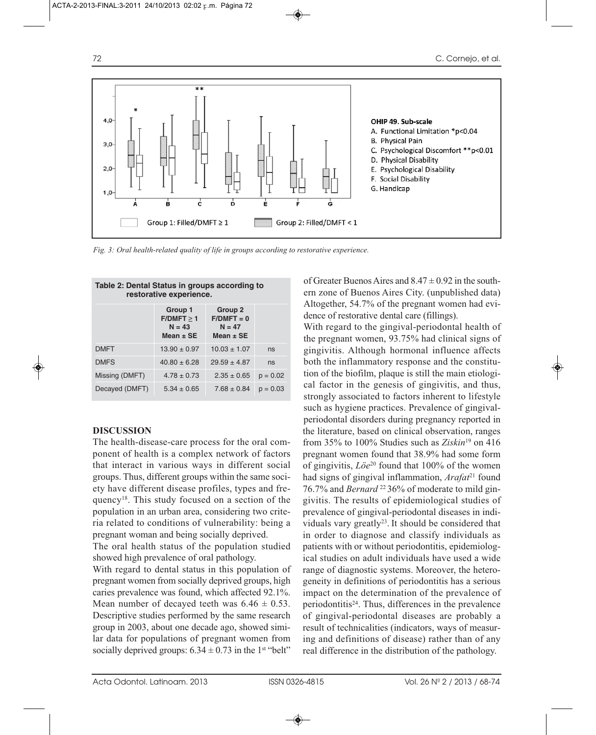

*Fig. 3: Oral health-related quality of life in groups according to restorative experience.*

| Table 2: Dental Status in groups according to<br>restorative experience. |                                                    |                                                      |            |  |  |  |  |  |
|--------------------------------------------------------------------------|----------------------------------------------------|------------------------------------------------------|------------|--|--|--|--|--|
|                                                                          | Group 1<br>F/DMFT > 1<br>$N = 43$<br>Mean $\pm$ SE | Group 2<br>$F/DMFT = 0$<br>$N = 47$<br>Mean $\pm$ SE |            |  |  |  |  |  |
| <b>DMFT</b>                                                              | $13.90 \pm 0.97$                                   | $10.03 \pm 1.07$                                     | ns         |  |  |  |  |  |
| <b>DMFS</b>                                                              | $40.80 \pm 6.28$                                   | $29.59 \pm 4.87$                                     | ns         |  |  |  |  |  |
| Missing (DMFT)                                                           | $4.78 \pm 0.73$                                    | $2.35 \pm 0.65$                                      | $p = 0.02$ |  |  |  |  |  |
| Decayed (DMFT)                                                           | $5.34 \pm 0.65$                                    | $7.68 \pm 0.84$                                      | $p = 0.03$ |  |  |  |  |  |

#### **DISCUSSION**

The health-disease-care process for the oral component of health is a complex network of factors that interact in various ways in different social groups. Thus, different groups within the same society have different disease profiles, types and frequency18. This study focused on a section of the population in an urban area, considering two criteria related to conditions of vulnerability: being a pregnant woman and being socially deprived.

The oral health status of the population studied showed high prevalence of oral pathology.

With regard to dental status in this population of pregnant women from socially deprived groups, high caries prevalence was found, which affected 92.1%. Mean number of decayed teeth was  $6.46 \pm 0.53$ . Descriptive studies performed by the same research group in 2003, about one decade ago, showed similar data for populations of pregnant women from socially deprived groups:  $6.34 \pm 0.73$  in the 1<sup>st</sup> "belt"

of Greater Buenos Aires and  $8.47 \pm 0.92$  in the southern zone of Buenos Aires City. (unpublished data) Altogether, 54.7% of the pregnant women had evidence of restorative dental care (fillings).

With regard to the gingival-periodontal health of the pregnant women, 93.75% had clinical signs of gingivitis. Although hormonal influence affects both the inflammatory response and the constitution of the biofilm, plaque is still the main etiological factor in the genesis of gingivitis, and thus, strongly associated to factors inherent to lifestyle such as hygiene practices. Prevalence of gingivalperiodontal disorders during pregnancy reported in the literature, based on clinical observation, ranges from 35% to 100% Studies such as *Ziskin*<sup>19</sup> on 416 pregnant women found that 38.9% had some form of gingivitis, *Löe*<sup>20</sup> found that 100% of the women had signs of gingival inflammation, *Arafat*<sup>21</sup> found 76.7% and *Bernard* 22 36% of moderate to mild gingivitis. The results of epidemiological studies of prevalence of gingival-periodontal diseases in individuals vary greatly<sup>23</sup>. It should be considered that in order to diagnose and classify individuals as patients with or without periodontitis, epidemiological studies on adult individuals have used a wide range of diagnostic systems. Moreover, the heterogeneity in definitions of periodontitis has a serious impact on the determination of the prevalence of periodontitis24. Thus, differences in the prevalence of gingival-periodontal diseases are probably a result of technicalities (indicators, ways of measuring and definitions of disease) rather than of any real difference in the distribution of the pathology.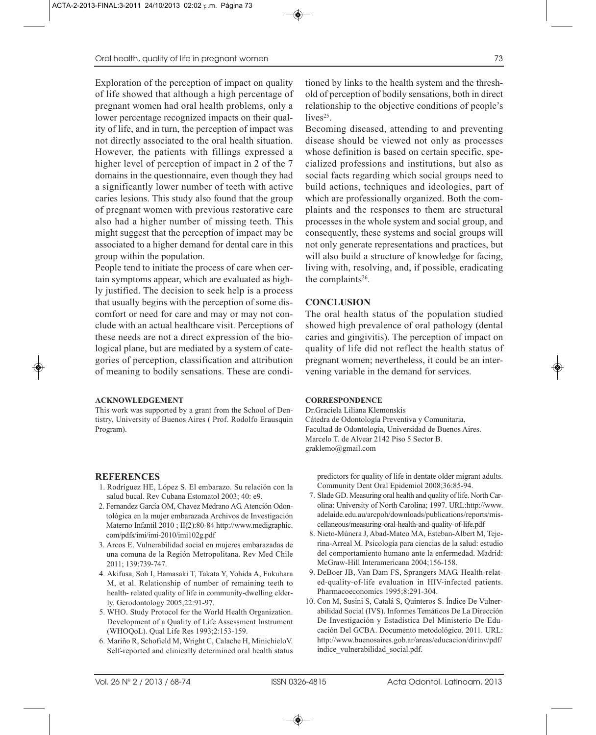Exploration of the perception of impact on quality of life showed that although a high percentage of pregnant women had oral health problems, only a lower percentage recognized impacts on their quality of life, and in turn, the perception of impact was not directly associated to the oral health situation. However, the patients with fillings expressed a higher level of perception of impact in 2 of the 7 domains in the questionnaire, even though they had a significantly lower number of teeth with active caries lesions. This study also found that the group of pregnant women with previous restorative care also had a higher number of missing teeth. This might suggest that the perception of impact may be associated to a higher demand for dental care in this group within the population.

People tend to initiate the process of care when certain symptoms appear, which are evaluated as highly justified. The decision to seek help is a process that usually begins with the perception of some discomfort or need for care and may or may not conclude with an actual healthcare visit. Perceptions of these needs are not a direct expression of the biological plane, but are mediated by a system of categories of perception, classification and attribution of meaning to bodily sensations. These are condi-

#### **ACKNOWLEDGEMENT**

This work was supported by a grant from the School of Dentistry, University of Buenos Aires ( Prof. Rodolfo Erausquin Program).

# **REFERENCES**

- 1. Rodríguez HE, López S. El embarazo. Su relación con la salud bucal. Rev Cubana Estomatol 2003; 40: e9.
- 2. Fernandez García OM, Chavez Medrano AG. Atención Odontológica en la mujer embarazada Archivos de Investigación Materno Infantil 2010 ; II(2):80-84 http://www.medigraphic. com/pdfs/imi/imi-2010/imi102g.pdf
- 3. Arcos E. Vulnerabilidad social en mujeres embarazadas de una comuna de la Región Metropolitana. Rev Med Chile 2011; 139:739-747.
- 4. Akifusa, Soh I, Hamasaki T, Takata Y, Yohida A, Fukuhara M, et al. Relationship of number of remaining teeth to health- related quality of life in community-dwelling elderly. Gerodontology 2005;22:91-97.
- 5. WHO. Study Protocol for the World Health Organization. Development of a Quality of Life Assessment Instrument (WHOQoL). Qual Life Res 1993;2:153-159.
- 6. Mariño R, Schofield M, Wright C, Calache H, MinichieloV. Self-reported and clinically determined oral health status

tioned by links to the health system and the threshold of perception of bodily sensations, both in direct relationship to the objective conditions of people's lives $25$ .

Becoming diseased, attending to and preventing disease should be viewed not only as processes whose definition is based on certain specific, specialized professions and institutions, but also as social facts regarding which social groups need to build actions, techniques and ideologies, part of which are professionally organized. Both the complaints and the responses to them are structural processes in the whole system and social group, and consequently, these systems and social groups will not only generate representations and practices, but will also build a structure of knowledge for facing, living with, resolving, and, if possible, eradicating the complaints<sup>26</sup>.

#### **CONCLUSION**

The oral health status of the population studied showed high prevalence of oral pathology (dental caries and gingivitis). The perception of impact on quality of life did not reflect the health status of pregnant women; nevertheless, it could be an intervening variable in the demand for services.

#### **CORRESPONDENCE**

Dr.Graciela Liliana Klemonskis Cátedra de Odontología Preventiva y Comunitaria, Facultad de Odontología, Universidad de Buenos Aires. Marcelo T. de Alvear 2142 Piso 5 Sector B. graklemo@gmail.com

predictors for quality of life in dentate older migrant adults. Community Dent Oral Epidemiol 2008;36:85-94.

- 7. Slade GD. Measuring oral health and quality of life. North Carolina: University of North Carolina; 1997. URL:http://www. adelaide.edu.au/arcpoh/downloads/publications/reports/miscellaneous/measuring-oral-health-and-quality-of-life.pdf
- 8. Nieto-Múnera J, Abad-Mateo MA, Esteban-Albert M, Tejerina-Arreal M. Psicología para ciencias de la salud: estudio del comportamiento humano ante la enfermedad. Madrid: McGraw-Hill Interamericana 2004;156-158.
- 9. DeBoer JB, Van Dam FS, Sprangers MAG. Health-related-quality-of-life evaluation in HIV-infected patients. Pharmacoeconomics 1995;8:291-304.
- 10. Con M, Susini S, Catalá S, Quinteros S. Índice De Vulnerabilidad Social (IVS). Informes Temáticos De La Dirección De Investigación y Estadística Del Ministerio De Educación Del GCBA. Documento metodológico. 2011. URL: http://www.buenosaires.gob.ar/areas/educacion/dirinv/pdf/ indice\_vulnerabilidad\_social.pdf.